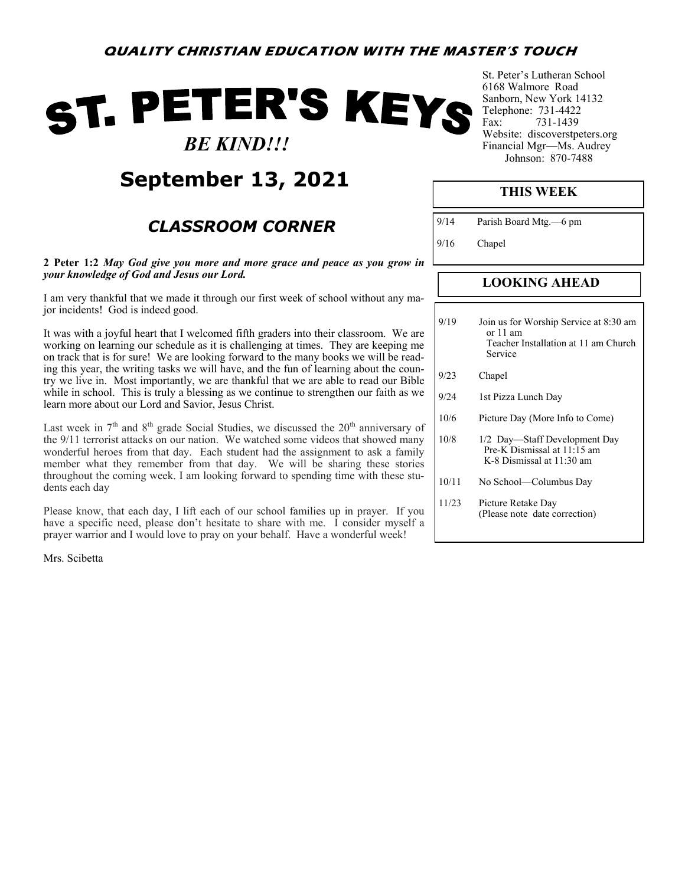# ST. PETER'S KEYS  *BE KIND!!!*

## **September 13, 2021**

### *CLASSROOM CORNER*

**2 Peter 1:2** *May God give you more and more grace and peace as you grow in your knowledge of God and Jesus our Lord.*

I am very thankful that we made it through our first week of school without any major incidents! God is indeed good.

It was with a joyful heart that I welcomed fifth graders into their classroom. We are working on learning our schedule as it is challenging at times. They are keeping me on track that is for sure! We are looking forward to the many books we will be reading this year, the writing tasks we will have, and the fun of learning about the country we live in. Most importantly, we are thankful that we are able to read our Bible while in school. This is truly a blessing as we continue to strengthen our faith as we learn more about our Lord and Savior, Jesus Christ.

Last week in  $7<sup>th</sup>$  and  $8<sup>th</sup>$  grade Social Studies, we discussed the  $20<sup>th</sup>$  anniversary of the 9/11 terrorist attacks on our nation. We watched some videos that showed many wonderful heroes from that day. Each student had the assignment to ask a family member what they remember from that day. We will be sharing these stories throughout the coming week. I am looking forward to spending time with these students each day

Please know, that each day, I lift each of our school families up in prayer. If you have a specific need, please don't hesitate to share with me. I consider myself a prayer warrior and I would love to pray on your behalf. Have a wonderful week!

Mrs. Scibetta

St. Peter's Lutheran School 6168 Walmore Road Sanborn, New York 14132 Telephone: 731-4422 Fax: 731-1439 Website: discoverstpeters.org Financial Mgr—Ms. Audrey Johnson: 870-7488

#### **THIS WEEK**

9/14 Parish Board Mtg.—6 pm

9/16 Chapel

### **LOOKING AHEAD**

- 9/19 Join us for Worship Service at 8:30 am or 11 am Teacher Installation at 11 am Church Service
- 9/23 Chapel
- 9/24 1st Pizza Lunch Day
- 10/6 Picture Day (More Info to Come)
- 10/8 1/2 Day—Staff Development Day Pre-K Dismissal at 11:15 am K-8 Dismissal at 11:30 am
- 10/11 No School—Columbus Day
- 11/23 Picture Retake Day (Please note date correction)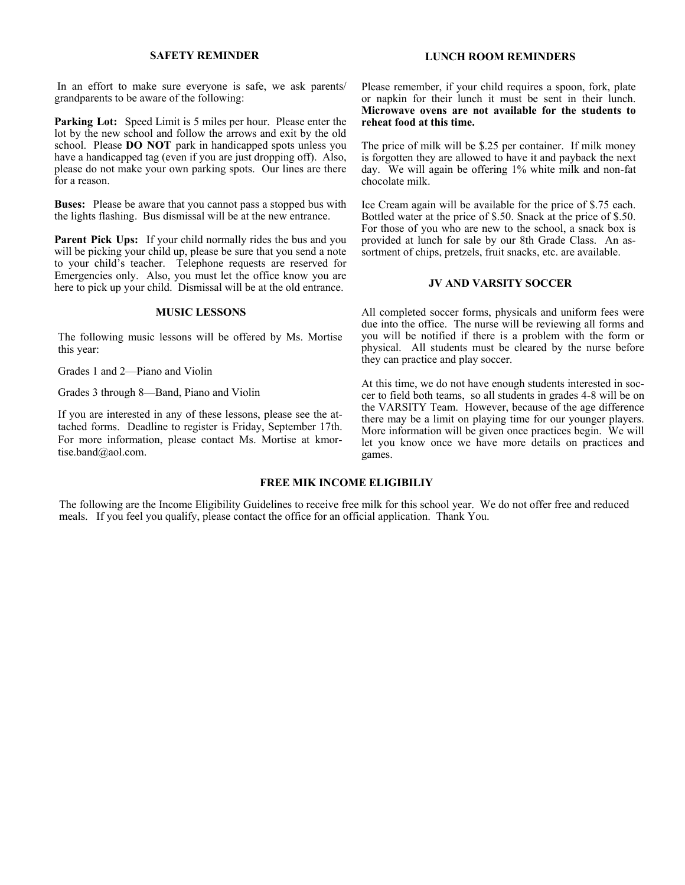#### **SAFETY REMINDER**

In an effort to make sure everyone is safe, we ask parents/ grandparents to be aware of the following:

**Parking Lot:** Speed Limit is 5 miles per hour. Please enter the lot by the new school and follow the arrows and exit by the old school. Please **DO NOT** park in handicapped spots unless you have a handicapped tag (even if you are just dropping off). Also, please do not make your own parking spots. Our lines are there for a reason.

**Buses:** Please be aware that you cannot pass a stopped bus with the lights flashing. Bus dismissal will be at the new entrance.

**Parent Pick Ups:** If your child normally rides the bus and you will be picking your child up, please be sure that you send a note to your child's teacher. Telephone requests are reserved for Emergencies only. Also, you must let the office know you are here to pick up your child. Dismissal will be at the old entrance.

#### **MUSIC LESSONS**

The following music lessons will be offered by Ms. Mortise this year:

Grades 1 and 2—Piano and Violin

Grades 3 through 8—Band, Piano and Violin

If you are interested in any of these lessons, please see the attached forms. Deadline to register is Friday, September 17th. For more information, please contact Ms. Mortise at kmortise.band@aol.com.

# **LUNCH ROOM REMINDERS**

Please remember, if your child requires a spoon, fork, plate or napkin for their lunch it must be sent in their lunch. **Microwave ovens are not available for the students to reheat food at this time.**

The price of milk will be \$.25 per container. If milk money is forgotten they are allowed to have it and payback the next day. We will again be offering 1% white milk and non-fat chocolate milk.

Ice Cream again will be available for the price of \$.75 each. Bottled water at the price of \$.50. Snack at the price of \$.50. For those of you who are new to the school, a snack box is provided at lunch for sale by our 8th Grade Class. An assortment of chips, pretzels, fruit snacks, etc. are available.

#### **JV AND VARSITY SOCCER**

All completed soccer forms, physicals and uniform fees were due into the office. The nurse will be reviewing all forms and you will be notified if there is a problem with the form or physical. All students must be cleared by the nurse before they can practice and play soccer.

At this time, we do not have enough students interested in soccer to field both teams, so all students in grades 4-8 will be on the VARSITY Team. However, because of the age difference there may be a limit on playing time for our younger players. More information will be given once practices begin. We will let you know once we have more details on practices and games.

#### **FREE MIK INCOME ELIGIBILIY**

The following are the Income Eligibility Guidelines to receive free milk for this school year. We do not offer free and reduced meals. If you feel you qualify, please contact the office for an official application. Thank You.